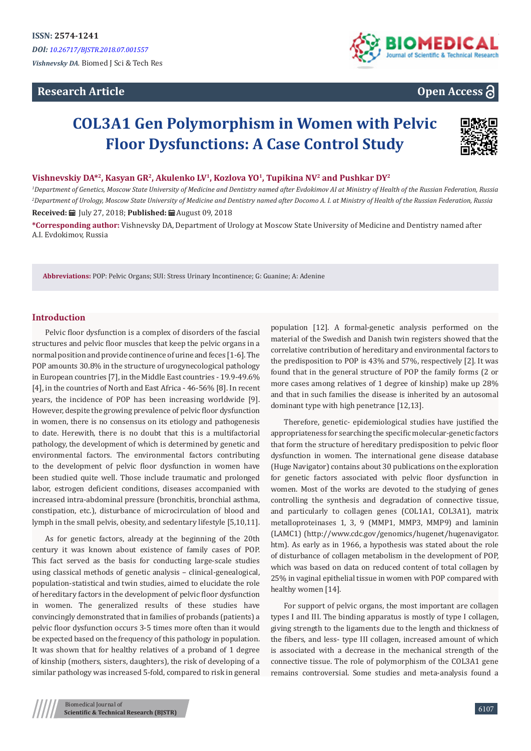# **Research Article**



# **Open Access**

# **COL3A1 Gen Polymorphism in Women with Pelvic Floor Dysfunctions: A Case Control Study**



**Vishnevskiy DA\*2, Kasyan GR2, Akulenko LV1, Kozlova YO1, Tupikina NV2 and Pushkar DY2**

*1 Department of Genetics, Moscow State University of Medicine and Dentistry named after Evdokimov AI at Ministry of Health of the Russian Federation, Russia 2 Department of Urology, Moscow State University of Medicine and Dentistry named after Docomo A. I. at Ministry of Health of the Russian Federation, Russia* **Received:** July 27, 2018; **Published:** August 09, 2018

**\*Corresponding author:** Vishnevsky DA, Department of Urology at Moscow State University of Medicine and Dentistry named after A.I. Evdokimov, Russia

**Abbreviations:** POP: Pelvic Organs; SUI: Stress Urinary Incontinence; G: Guanine; A: Adenine

## **Introduction**

Pelvic floor dysfunction is a complex of disorders of the fascial structures and pelvic floor muscles that keep the pelvic organs in a normal position and provide continence of urine and feces [1-6]. The POP amounts 30.8% in the structure of urogynecological pathology in European countries [7], in the Middle East countries - 19.9-49.6% [4], in the countries of North and East Africa - 46-56% [8]. In recent years, the incidence of POP has been increasing worldwide [9]. However, despite the growing prevalence of pelvic floor dysfunction in women, there is no consensus on its etiology and pathogenesis to date. Herewith, there is no doubt that this is a multifactorial pathology, the development of which is determined by genetic and environmental factors. The environmental factors contributing to the development of pelvic floor dysfunction in women have been studied quite well. Those include traumatic and prolonged labor, estrogen deficient conditions, diseases accompanied with increased intra-abdominal pressure (bronchitis, bronchial asthma, constipation, etc.), disturbance of microcirculation of blood and lymph in the small pelvis, obesity, and sedentary lifestyle [5,10,11].

As for genetic factors, already at the beginning of the 20th century it was known about existence of family cases of POP. This fact served as the basis for conducting large-scale studies using classical methods of genetic analysis – clinical-genealogical, population-statistical and twin studies, aimed to elucidate the role of hereditary factors in the development of pelvic floor dysfunction in women. The generalized results of these studies have convincingly demonstrated that in families of probands (patients) a pelvic floor dysfunction occurs 3-5 times more often than it would be expected based on the frequency of this pathology in population. It was shown that for healthy relatives of a proband of 1 degree of kinship (mothers, sisters, daughters), the risk of developing of a similar pathology was increased 5-fold, compared to risk in general

population [12]. A formal-genetic analysis performed on the material of the Swedish and Danish twin registers showed that the correlative contribution of hereditary and environmental factors to the predisposition to POP is 43% and 57%, respectively [2]. It was found that in the general structure of POP the family forms (2 or more cases among relatives of 1 degree of kinship) make up 28% and that in such families the disease is inherited by an autosomal dominant type with high penetrance [12,13].

Therefore, genetic- epidemiological studies have justified the appropriateness for searching the specific molecular-genetic factors that form the structure of hereditary predisposition to pelvic floor dysfunction in women. The international gene disease database (Huge Navigator) contains about 30 publications on the exploration for genetic factors associated with pelvic floor dysfunction in women. Most of the works are devoted to the studying of genes controlling the synthesis and degradation of connective tissue, and particularly to collagen genes (COL1A1, COL3A1), matrix metalloproteinases 1, 3, 9 (MMP1, MMP3, MMP9) and laminin (LAMC1) (http://www.cdc.gov/genomics/hugenet/hugenavigator. htm). As early as in 1966, a hypothesis was stated about the role of disturbance of collagen metabolism in the development of POP, which was based on data on reduced content of total collagen by 25% in vaginal epithelial tissue in women with POP compared with healthy women [14].

For support of pelvic organs, the most important are collagen types I and III. The binding apparatus is mostly of type I collagen, giving strength to the ligaments due to the length and thickness of the fibers, and less- type III collagen, increased amount of which is associated with a decrease in the mechanical strength of the connective tissue. The role of polymorphism of the COL3A1 gene remains controversial. Some studies and meta-analysis found a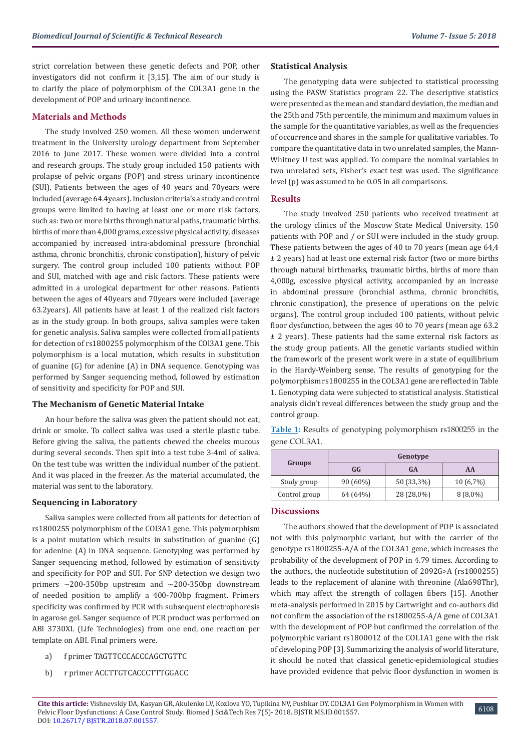strict correlation between these genetic defects and POP, other investigators did not confirm it [3,15]. The aim of our study is to clarify the place of polymorphism of the COL3A1 gene in the development of POP and urinary incontinence.

#### **Materials and Methods**

The study involved 250 women. All these women underwent treatment in the University urology department from September 2016 to June 2017. These women were divided into a control and research groups. The study group included 150 patients with prolapse of pelvic organs (POP) and stress urinary incontinence (SUI). Patients between the ages of 40 years and 70years were included (average 64.4years). Inclusion criteria's a study and control groups were limited to having at least one or more risk factors, such as: two or more births through natural paths, traumatic births, births of more than 4,000 grams, excessive physical activity, diseases accompanied by increased intra-abdominal pressure (bronchial asthma, chronic bronchitis, chronic constipation), history of pelvic surgery. The control group included 100 patients without POP and SUI, matched with age and risk factors. These patients were admitted in a urological department for other reasons. Patients between the ages of 40years and 70years were included (average 63.2years). All patients have at least 1 of the realized risk factors as in the study group. In both groups, saliva samples were taken for genetic analysis. Saliva samples were collected from all patients for detection of rs1800255 polymorphism of the COl3A1 gene. This polymorphism is a local mutation, which results in substitution of guanine (G) for adenine (A) in DNA sequence. Genotyping was performed by Sanger sequencing method, followed by estimation of sensitivity and specificity for POP and SUI.

#### **The Mechanism of Genetic Material Intake**

An hour before the saliva was given the patient should not eat, drink or smoke. To collect saliva was used a sterile plastic tube. Before giving the saliva, the patients chewed the cheeks mucous during several seconds. Then spit into a test tube 3-4ml of saliva. On the test tube was written the individual number of the patient. And it was placed in the freezer. As the material accumulated, the material was sent to the laboratory.

#### **Sequencing in Laboratory**

Saliva samples were collected from all patients for detection of rs1800255 polymorphism of the COl3A1 gene. This polymorphism is a point mutation which results in substitution of guanine (G) for adenine (A) in DNA sequence. Genotyping was performed by Sanger sequencing method, followed by estimation of sensitivity and specificity for POP and SUI. For SNP detection we design two primers ~200-350bp upstream and ~200-350bp downstream of needed position to amplify a 400-700bp fragment. Primers specificity was confirmed by PCR with subsequent electrophoresis in agarose gel. Sanger sequence of PCR product was performed on ABI 3730XL (Life Technologies) from one end, one reaction per template on ABI. Final primers were.

- a) f primer TAGTTCCCACCCAGCTGTTC
- b) r primer ACCTTGTCACCCTTTGGACC

#### **Statistical Analysis**

The genotyping data were subjected to statistical processing using the PASW Statistics program 22. The descriptive statistics were presented as the mean and standard deviation, the median and the 25th and 75th percentile, the minimum and maximum values in the sample for the quantitative variables, as well as the frequencies of occurrence and shares in the sample for qualitative variables. To compare the quantitative data in two unrelated samples, the Mann-Whitney U test was applied. To compare the nominal variables in two unrelated sets, Fisher's exact test was used. The significance level (p) was assumed to be 0.05 in all comparisons.

## **Results**

The study involved 250 patients who received treatment at the urology clinics of the Moscow State Medical University. 150 patients with POP and / or SUI were included in the study group. These patients between the ages of 40 to 70 years (mean age 64,4 ± 2 years) had at least one external risk factor (two or more births through natural birthmarks, traumatic births, births of more than 4,000g, excessive physical activity, accompanied by an increase in abdominal pressure (bronchial asthma, chronic bronchitis, chronic constipation), the presence of operations on the pelvic organs). The control group included 100 patients, without pelvic floor dysfunction, between the ages 40 to 70 years (mean age 63.2 ± 2 years). These patients had the same external risk factors as the study group patients. All the genetic variants studied within the framework of the present work were in a state of equilibrium in the Hardy-Weinberg sense. The results of genotyping for the polymorphism rs1800255 in the COL3A1 gene are reflected in Table 1. Genotyping data were subjected to statistical analysis. Statistical analysis didn't reveal differences between the study group and the control group.

**Table 1:** Results of genotyping polymorphism rs1800255 in the gene COL3A1.

| Groups        | Genotype   |            |             |
|---------------|------------|------------|-------------|
|               | GG         | GA         | AA          |
| Study group   | $90(60\%)$ | 50 (33,3%) | $10(6,7\%)$ |
| Control group | 64 (64%)   | 28 (28,0%) | $8(8,0\%)$  |

#### **Discussions**

The authors showed that the development of POP is associated not with this polymorphic variant, but with the carrier of the genotype rs1800255-A/A of the COL3A1 gene, which increases the probability of the development of POP in 4.79 times. According to the authors, the nucleotide substitution of 2092G>A (rs1800255) leads to the replacement of alanine with threonine (Ala698Thr), which may affect the strength of collagen fibers [15]. Another meta-analysis performed in 2015 by Cartwright and co-authors did not confirm the association of the rs1800255-A/A gene of COL3A1 with the development of POP but confirmed the correlation of the polymorphic variant rs1800012 of the COL1A1 gene with the risk of developing POP [3]. Summarizing the analysis of world literature, it should be noted that classical genetic-epidemiological studies have provided evidence that pelvic floor dysfunction in women is

6108